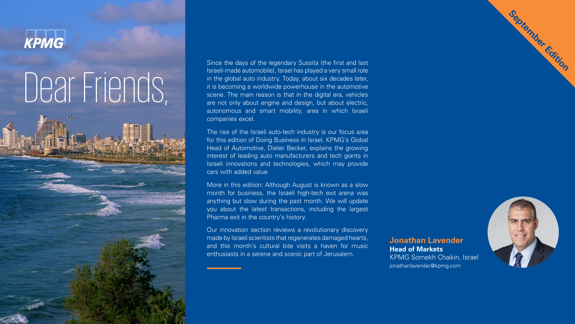

## Dear Friends,

Since the days of the legendary Sussita (the first and last Israeli-made automobile), Israel has played a very small role in the global auto industry. Today, about six decades later, it is becoming a worldwide powerhouse in the automotive scene. The main reason is that in the digital era, vehicles are not only about engine and design, but about electric, autonomous and smart mobility, area in which Israeli companies excel.

The rise of the Israeli auto-tech industry is our focus area for this edition of Doing Business in Israel. KPMG's Global Head of Automotive, Dieter Becker, explains the growing interest of leading auto manufacturers and tech giants in Israeli innovations and technologies, which may provide cars with added value.

More in this edition: Although August is known as a slow month for business, the Israeli high-tech exit arena was anything but slow during the past month. We will update you about the latest transactions, including the largest Pharma exit in the country's history.

Our innovation section reviews a revolutionary discovery made by Israeli scientists that regenerates damaged hearts, and this month's cultural bite visits a haven for music enthusiasts in a serene and scenic part of Jerusalem.

#### **Lavender Jonathan Head of Markets**

KPMG Somekh Chaikin, Israel jonathanlavender@kpmg.com



**September Edition**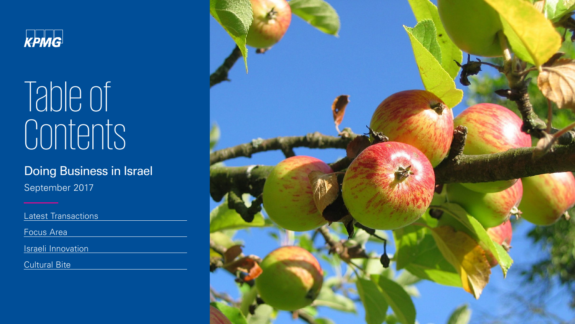

# Table of contents

## Doing Business in Israel

September 2017

Latest Transactions

Focus Area

Israeli Innovation

**Cultural Bite** 

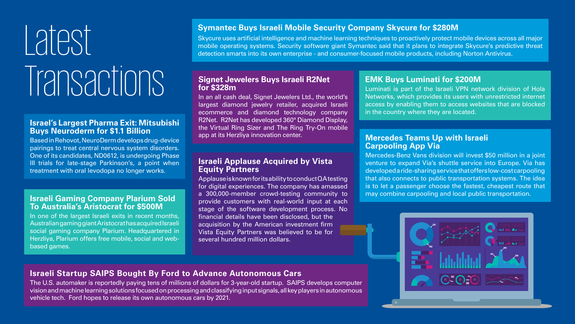# Latest Transactions

#### **Israel's Largest Pharma Exit: Mitsubishi Buys Neuroderm for \$1.1 Billion**

Based in Rehovot, NeuroDerm develops drug-device pairings to treat central nervous system disorders. One of its candidates, ND0612, is undergoing Phase III trials for late-stage Parkinson's, a point when treatment with oral levodopa no longer works.

#### **Israeli Gaming Company Plarium Sold To Australia's Aristocrat for \$500M**

In one of the largest Israeli exits in recent months, Australian gaming giant Aristocrat has acquired Israeli social gaming company Plarium. Headquartered in Herzliya, Plarium offers free mobile, social and web-<br>based games.

#### **Symantec Buys Israeli Mobile Security Company Skycure for \$280M**

Skycure uses artificial intelligence and machine learning techniques to proactively protect mobile devices across all major mobile operating systems. Security software giant Symantec said that it plans to integrate Skycure's predictive threat detection smarts into its own enterprise - and consumer-focused mobile products, including Norton Antivirus.

#### **Signet Jewelers Buys Israeli R2Net m\$328 for**

In an all cash deal, Signet Jewelers Ltd., the world's largest diamond jewelry retailer, acquired Israeli ecommerce and diamond technology company R2Net. R2Net has developed 360° Diamond Display, the Virtual Ring Sizer and The Ring Try-On mobile app at its Herzliya innovation center.

#### **Israeli Applause Acquired by Vista Equity Partners**

Applause is known for its ability to conduct QA testing for digital experiences. The company has amassed a 300,000-member crowd-testing community to provide customers with real-world input at each stage of the software development process. No financial details have been disclosed, but the acquisition by the American investment firm Vista Equity Partners was believed to be for several hundred million dollars.

**Mercedes Teams Up with Israeli Carpooling App Via** Mercedes-Benz Vans division will invest \$50 million in a joint venture to expand Via's shuttle service into Europe. Via has developed a ride-sharing service that offers low-cost carpoolingthat also connects to public transportation systems. The idea is to let a passenger choose the fastest, cheapest route that .transportation may combine carpooling and local public transportation.

#### **Israeli Startup SAIPS Bought By Ford to Advance Autonomous Cars**

The U.S. automaker is reportedly paying tens of millions of dollars for 3-year-old startup. SAIPS develops computer vision and machine learning solutions focused on processing and classifying input signals, all key players in autonomous vehicle tech. Ford hopes to release its own autonomous cars by 2021.

#### **EMK Buys Luminati for \$200M**

Luminati is part of the Israeli VPN network division of Hola Networks, which provides its users with unrestricted internet access by enabling them to access websites that are blocked in the country where they are located.

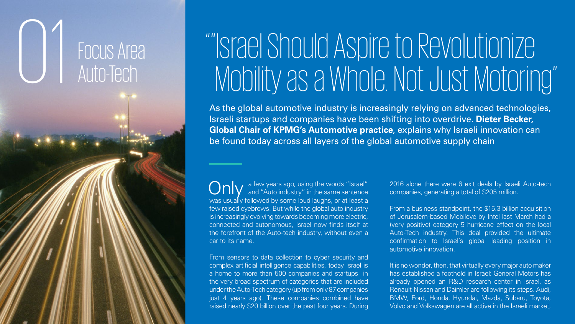## **FOCUS Area** Auto-Tech

01

## "Israel Should Aspire to Revolutionize Mobility as a Whole. Not Just Motoring"

As the global automotive industry is increasingly relying on advanced technologies, Israeli startups and companies have been shifting into overdrive. Dieter Becker, Global Chair of KPMG's Automotive practice, explains why Israeli innovation can be found today across all layers of the global automotive supply chain

Only a few years ago, using the words "Israel"<br>
Only and "Auto industry" in the same sentence was usually followed by some loud laughs, or at least a few raised eyebrows. But while the global auto industry is increasingly evolving towards becoming more electric, connected and autonomous, Israel now finds itself at the forefront of the Auto-tech industry, without even a car to its name.

From sensors to data collection to cyber security and complex artificial intelligence capabilities, today Israel is a home to more than 500 companies and startups in the very broad spectrum of categories that are included under the Auto-Tech category (up from only 87 companies just 4 years ago). These companies combined have raised nearly \$20 billion over the past four years. During

2016 alone there were 6 exit deals by Israeli Auto-tech companies, generating a total of \$205 million.

From a business standpoint, the \$15.3 billion acquisition of Jerusalem-based Mobileye by Intel last March had a (very positive) category 5 hurricane effect on the local Auto-Tech industry. This deal provided the ultimate confirmation to Israel's global leading position in automotive innovation.

It is no wonder, then, that virtually every major auto maker has established a foothold in Israel: General Motors has already opened an R&D research center in Israel, as Renault-Nissan and Daimler are following its steps. Audi, BMW, Ford, Honda, Hyundai, Mazda, Subaru, Toyota, Volvo and Volkswagen are all active in the Israeli market,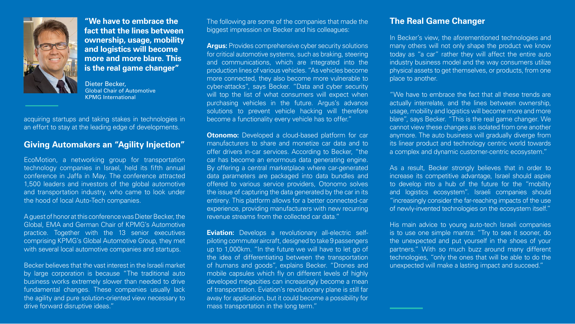

**"We have to embrace the fact that the lines between ownership, usage, mobility and logistics will become more and more blare. This is the real game changer"** 

Dieter Becker, **Global Chair of Automotive KPMG** International

acquiring startups and taking stakes in technologies in an effort to stay at the leading edge of developments.

#### **Giving Automakers an "Agility Injection"**

EcoMotion, a networking group for transportation technology companies in Israel, held its fifth annual conference in Jaffa in May. The conference attracted 1,500 leaders and investors of the global automotive and transportation industry, who came to look under the hood of local Auto-Tech companies.

A guest of honor at this conference was Dieter Becker, the Global, EMA and German Chair of KPMG's Automotive practice. Together with the 13 senior executives comprising KPMG's Global Automotive Group, they met with several local automotive companies and startups.

Becker believes that the vast interest in the Israeli market by large corporation is because "The traditional auto business works extremely slower than needed to drive fundamental changes. These companies usually lack the agility and pure solution-oriented view necessary to drive forward disruptive ideas."

The following are some of the companies that made the biggest impression on Becker and his colleagues:

**Argus:** Provides comprehensive cyber security solutions for critical automotive systems, such as braking, steering and communications, which are integrated into the production lines of various vehicles. "As vehicles become more connected, they also become more vulnerable to cyber-attacks", says Becker. "Data and cyber security will top the list of what consumers will expect when purchasing vehicles in the future. Argus's advance solutions to prevent vehicle hacking will therefore become a functionality every vehicle has to offer."

**Otonomo:** Developed a cloud-based platform for car manufacturers to share and monetize car data and to offer drivers in-car services. According to Becker, "the car has become an enormous data generating engine. By offering a central marketplace where car-generated data parameters are packaged into data bundles and offered to various service providers, Otonomo solves the issue of capturing the data generated by the car in its entirery. This platform allows for a better connected-car experience, providing manufacturers with new recurring revenue streams from the collected car data."

piloting commuter aircraft, designed to take 9 passengers **Eviation:** Develops a revolutionary all-electric selfup to 1,000 km. "In the future we will have to let go of the idea of differentiating between the transportation of humans and goods", explains Becker. "Drones and mobile capsules which fly on different levels of highly developed megacities can increasingly become a mean of transportation. Eviation's revolutionary plane is still far a way for application, but it could become a possibility for mass transportation in the long term."

#### **The Real Game Changer**

In Becker's view, the aforementioned technologies and many others will not only shape the product we know today as "a car" rather they will affect the entire auto industry business model and the way consumers utilize physical assets to get themselves, or products, from one place to another.

"We have to embrace the fact that all these trends are actually interrelate, and the lines between ownership, usage, mobility and logistics will become more and more blare", says Becker. "This is the real game changer. We cannot view these changes as isolated from one another anymore. The auto business will gradually diverge from its linear product and technology centric world towards a complex and dynamic customer-centric ecosystem."

As a result, Becker strongly believes that in order to increase its competitive advantage, Israel should aspire to develop into a hub of the future for the "mobility and logistics ecosystem". Israeli companies should "increasingly consider the far-reaching impacts of the use of newly-invented technologies on the ecosystem itself."

His main advice to young auto-tech Israeli companies is to use one simple mantra: "Try to see it sooner, do the unexpected and put yourself in the shoes of your partners." With so much buzz around many different technologies, "only the ones that will be able to do the unexpected will make a lasting impact and succeed."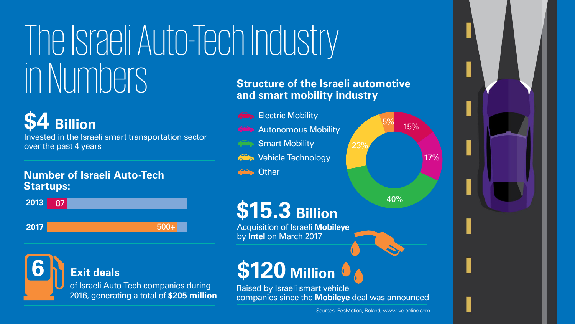## The Israeli Auto-Tech Industry Numbers in

## **Billion \$15.3**

**Acquisition of Israeli Mobileye** by **Intel** on March 2017

## **Number of Israeli Auto-Tech :Startups**

## **Billion \$4**

Invested in the Israeli smart transportation sector over the past 4 years



### **Exit deals**

of Israeli Auto-Tech companies during **2016, generating a total of \$205 million** 

## **Structure of the Israeli automotive** and smart mobility industry

- **Co** Electric Mobility
- **Robility** Autonomous Mobility
	- **Smart Mobility**
- **The Vehicle Technology**

#### **Conduction** Other



23%



**Million \$120 6**

Raised by Israeli smart vehicle companies since the **Mobileye** deal was announced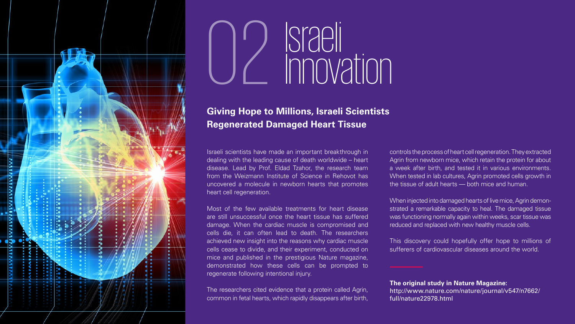

# Israeli<br>Innovation

#### **Giving Hope to Millions, Israeli Scientists Regenerated Damaged Heart Tissue**

Israeli scientists have made an important breakthrough in dealing with the leading cause of death worldwide – heart disease. Lead by Prof. Eldad Tzahor, the research team from the Weizmann Institute of Science in Rehovot has uncovered a molecule in newborn hearts that promotes heart cell regeneration.

Most of the few available treatments for heart disease are still unsuccessful once the heart tissue has suffered damage. When the cardiac muscle is compromised and cells die, it can often lead to death. The researchers achieved new insight into the reasons why cardiac muscle cells cease to divide, and their experiment, conducted on mice and published in the prestigious Nature magazine, demonstrated how these cells can be prompted to regenerate following intentional injury.

The researchers cited evidence that a protein called Agrin, common in fetal hearts, which rapidly disappears after birth,

controls the process of heart cell regeneration. They extracted Agrin from newborn mice, which retain the protein for about a week after birth, and tested it in various environments. When tested in lab cultures, Agrin promoted cells growth in the tissue of adult hearts  $-$  both mice and human.

strated a remarkable capacity to heal. The damaged tissue When injected into damaged hearts of live mice, Agrin demonwas functioning normally again within weeks, scar tissue was reduced and replaced with new healthy muscle cells.

This discovery could hopefully offer hope to millions of sufferers of cardiovascular diseases around the world.

**The original study in Nature Magazine:** http://www.nature.com/nature/journal/v547/n7662/ full/nature22978.html